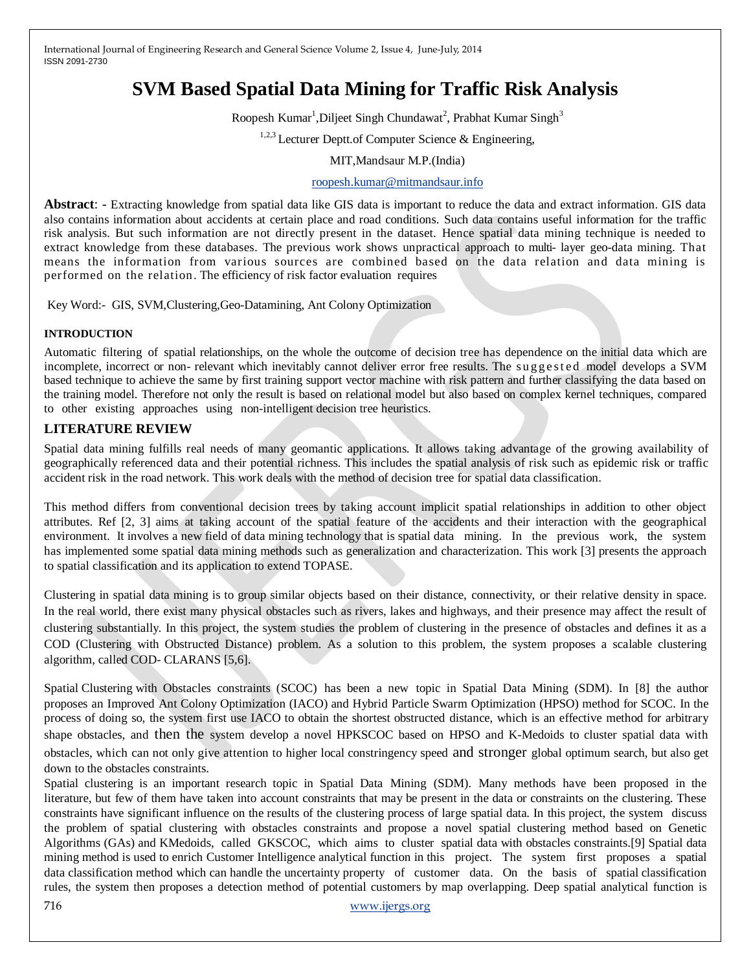# **SVM Based Spatial Data Mining for Traffic Risk Analysis**

Roopesh Kumar<sup>1</sup>, Diljeet Singh Chundawat<sup>2</sup>, Prabhat Kumar Singh<sup>3</sup>

<sup>1,2,3</sup> Lecturer Deptt.of Computer Science & Engineering,

MIT,Mandsaur M.P.(India)

#### [roopesh.kumar@mitmandsaur.info](mailto:roopesh.kumar@mitmandsaur.info)

**Abstract**: - Extracting knowledge from spatial data like GIS data is important to reduce the data and extract information. GIS data also contains information about accidents at certain place and road conditions. Such data contains useful information for the traffic risk analysis. But such information are not directly present in the dataset. Hence spatial data mining technique is needed to extract knowledge from these databases. The previous work shows unpractical approach to multi- layer geo-data mining. That means the information from various sources are combined based on the data relation and data mining is performed on the relation. The efficiency of risk factor evaluation requires

Key Word:- GIS, SVM,Clustering,Geo-Datamining, Ant Colony Optimization

#### **INTRODUCTION**

Automatic filtering of spatial relationships, on the whole the outcome of decision tree has dependence on the initial data which are incomplete, incorrect or non- relevant which inevitably cannot deliver error free results. The suggested model develops a SVM based technique to achieve the same by first training support vector machine with risk pattern and further classifying the data based on the training model. Therefore not only the result is based on relational model but also based on complex kernel techniques, compared to other existing approaches using non-intelligent decision tree heuristics.

## **LITERATURE REVIEW**

Spatial data mining fulfills real needs of many geomantic applications. It allows taking advantage of the growing availability of geographically referenced data and their potential richness. This includes the spatial analysis of risk such as epidemic risk or traffic accident risk in the road network. This work deals with the method of decision tree for spatial data classification.

This method differs from conventional decision trees by taking account implicit spatial relationships in addition to other object attributes. Ref [2, 3] aims at taking account of the spatial feature of the accidents and their interaction with the geographical environment. It involves a new field of data mining technology that is spatial data mining. In the previous work, the system has implemented some spatial data mining methods such as generalization and characterization. This work [3] presents the approach to spatial classification and its application to extend TOPASE.

Clustering in spatial data mining is to group similar objects based on their distance, connectivity, or their relative density in space. In the real world, there exist many physical obstacles such as rivers, lakes and highways, and their presence may affect the result of clustering substantially. In this project, the system studies the problem of clustering in the presence of obstacles and defines it as a COD (Clustering with Obstructed Distance) problem. As a solution to this problem, the system proposes a scalable clustering algorithm, called COD- CLARANS [5,6].

Spatial Clustering with Obstacles constraints (SCOC) has been a new topic in Spatial Data Mining (SDM). In [8] the author proposes an Improved Ant Colony Optimization (IACO) and Hybrid Particle Swarm Optimization (HPSO) method for SCOC. In the process of doing so, the system first use IACO to obtain the shortest obstructed distance, which is an effective method for arbitrary shape obstacles, and then the system develop a novel HPKSCOC based on HPSO and K-Medoids to cluster spatial data with obstacles, which can not only give attention to higher local constringency speed and stronger global optimum search, but also get down to the obstacles constraints.

716 [www.ijergs.org](http://www.ijergs.org/) Spatial clustering is an important research topic in Spatial Data Mining (SDM). Many methods have been proposed in the literature, but few of them have taken into account constraints that may be present in the data or constraints on the clustering. These constraints have significant influence on the results of the clustering process of large spatial data. In this project, the system discuss the problem of spatial clustering with obstacles constraints and propose a novel spatial clustering method based on Genetic Algorithms (GAs) and KMedoids, called GKSCOC, which aims to cluster spatial data with obstacles constraints.[9] Spatial data mining method is used to enrich Customer Intelligence analytical function in this project. The system first proposes a spatial data classification method which can handle the uncertainty property of customer data. On the basis of spatial classification rules, the system then proposes a detection method of potential customers by map overlapping. Deep spatial analytical function is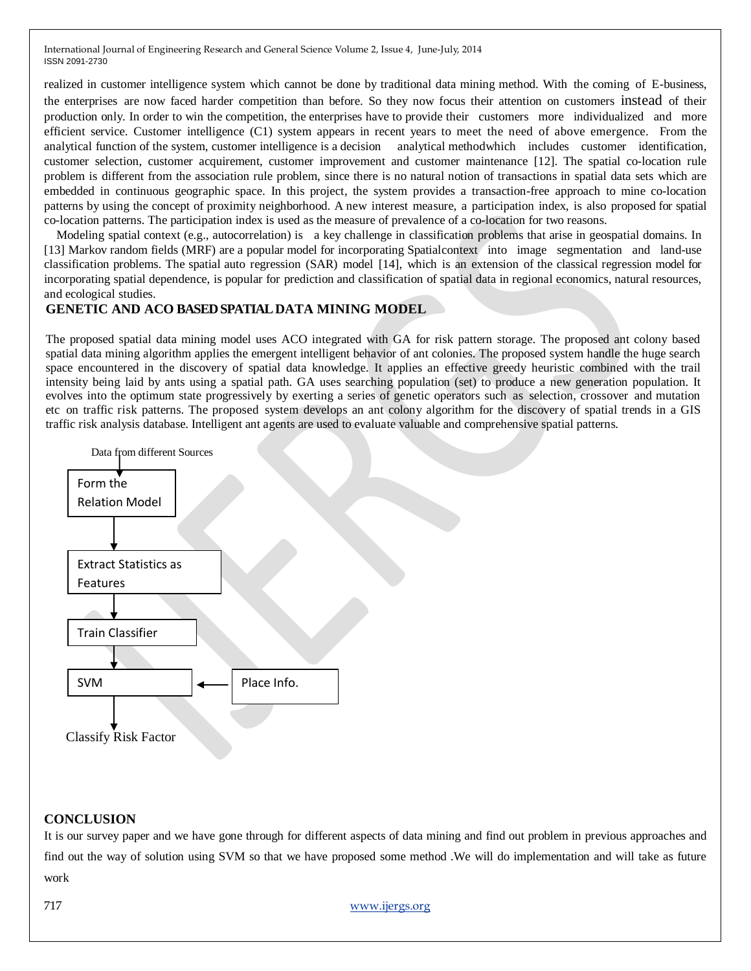International Journal of Engineering Research and General Science Volume 2, Issue 4, June-July, 2014 ISSN 2091-2730

realized in customer intelligence system which cannot be done by traditional data mining method. With the coming of E-business, the enterprises are now faced harder competition than before. So they now focus their attention on customers instead of their production only. In order to win the competition, the enterprises have to provide their customers more individualized and more efficient service. Customer intelligence (C1) system appears in recent years to meet the need of above emergence. From the analytical function of the system, customer intelligence is a decision analytical methodwhich includes customer identification, customer selection, customer acquirement, customer improvement and customer maintenance [12]. The spatial co-location rule problem is different from the association rule problem, since there is no natural notion of transactions in spatial data sets which are embedded in continuous geographic space. In this project, the system provides a transaction-free approach to mine co-location patterns by using the concept of proximity neighborhood. A new interest measure, a participation index, is also proposed for spatial co-location patterns. The participation index is used as the measure of prevalence of a co-location for two reasons.

Modeling spatial context (e.g., autocorrelation) is a key challenge in classification problems that arise in geospatial domains. In [13] Markov random fields (MRF) are a popular model for incorporating Spatialcontext into image segmentation and land-use classification problems. The spatial auto regression (SAR) model [14], which is an extension of the classical regression model for incorporating spatial dependence, is popular for prediction and classification of spatial data in regional economics, natural resources, and ecological studies.

### **GENETIC AND ACO BASED SPATIAL DATA MINING MODEL**

The proposed spatial data mining model uses ACO integrated with GA for risk pattern storage. The proposed ant colony based spatial data mining algorithm applies the emergent intelligent behavior of ant colonies. The proposed system handle the huge search space encountered in the discovery of spatial data knowledge. It applies an effective greedy heuristic combined with the trail intensity being laid by ants using a spatial path. GA uses searching population (set) to produce a new generation population. It evolves into the optimum state progressively by exerting a series of genetic operators such as selection, crossover and mutation etc on traffic risk patterns. The proposed system develops an ant colony algorithm for the discovery of spatial trends in a GIS traffic risk analysis database. Intelligent ant agents are used to evaluate valuable and comprehensive spatial patterns.



# **CONCLUSION**

It is our survey paper and we have gone through for different aspects of data mining and find out problem in previous approaches and find out the way of solution using SVM so that we have proposed some method .We will do implementation and will take as future work

717 [www.ijergs.org](http://www.ijergs.org/)